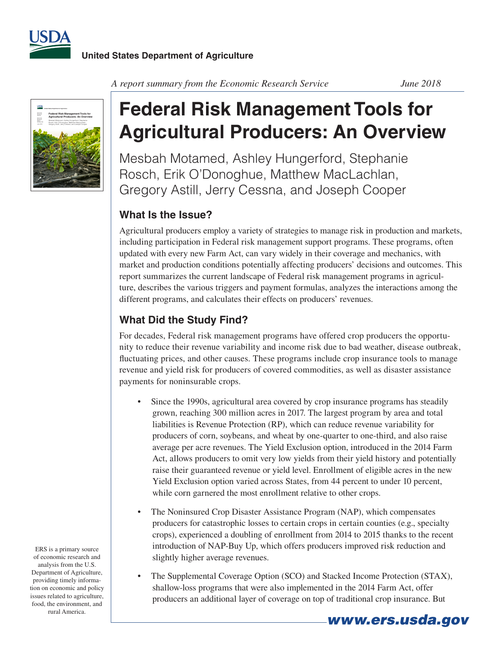



*A report summary from the Economic Research Service June 2018*

## **Federal Risk Management Tools for Agricultural Producers: An Overview**

Mesbah Motamed, Ashley Hungerford, Stephanie Rosch, Erik O'Donoghue, Matthew MacLachlan, Gregory Astill, Jerry Cessna, and Joseph Cooper

## **What Is the Issue?**

Agricultural producers employ a variety of strategies to manage risk in production and markets, including participation in Federal risk management support programs. These programs, often updated with every new Farm Act, can vary widely in their coverage and mechanics, with market and production conditions potentially affecting producers' decisions and outcomes. This report summarizes the current landscape of Federal risk management programs in agriculture, describes the various triggers and payment formulas, analyzes the interactions among the different programs, and calculates their effects on producers' revenues.

## **What Did the Study Find?**

For decades, Federal risk management programs have offered crop producers the opportunity to reduce their revenue variability and income risk due to bad weather, disease outbreak, fluctuating prices, and other causes. These programs include crop insurance tools to manage revenue and yield risk for producers of covered commodities, as well as disaster assistance payments for noninsurable crops.

- Since the 1990s, agricultural area covered by crop insurance programs has steadily grown, reaching 300 million acres in 2017. The largest program by area and total liabilities is Revenue Protection (RP), which can reduce revenue variability for producers of corn, soybeans, and wheat by one-quarter to one-third, and also raise average per acre revenues. The Yield Exclusion option, introduced in the 2014 Farm Act, allows producers to omit very low yields from their yield history and potentially raise their guaranteed revenue or yield level. Enrollment of eligible acres in the new Yield Exclusion option varied across States, from 44 percent to under 10 percent, while corn garnered the most enrollment relative to other crops.
- The Noninsured Crop Disaster Assistance Program (NAP), which compensates producers for catastrophic losses to certain crops in certain counties (e.g., specialty crops), experienced a doubling of enrollment from 2014 to 2015 thanks to the recent introduction of NAP-Buy Up, which offers producers improved risk reduction and slightly higher average revenues.
- The Supplemental Coverage Option (SCO) and Stacked Income Protection (STAX), shallow-loss programs that were also implemented in the 2014 Farm Act, offer producers an additional layer of coverage on top of traditional crop insurance. But

ERS is a primary source of economic research and analysis from the U.S. Department of Agriculture, providing timely information on economic and policy issues related to agriculture, food, the environment, and rural America.